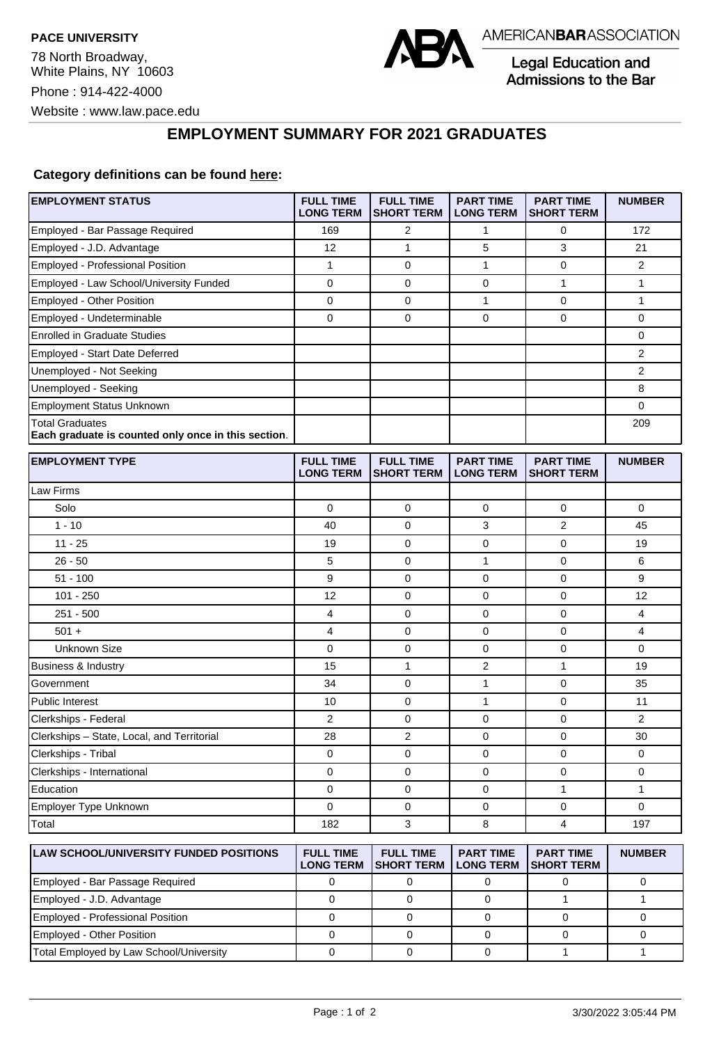

Legal Education and Admissions to the Bar

## **EMPLOYMENT SUMMARY FOR 2021 GRADUATES**

## **Category definitions can be found [here:](https://www.americanbar.org/content/dam/aba/administrative/legal_education_and_admissions_to_the_bar/Questionnaires/2021/2022-employment-protocols-for-the-class-of-2021-september-2021.pdf)**

| <b>EMPLOYMENT STATUS</b>                                                      | <b>FULL TIME</b><br><b>LONG TERM</b> | <b>FULL TIME</b><br><b>SHORT TERM</b> | <b>PART TIME</b><br><b>LONG TERM</b> | <b>PART TIME</b><br><b>SHORT TERM</b> | <b>NUMBER</b>  |
|-------------------------------------------------------------------------------|--------------------------------------|---------------------------------------|--------------------------------------|---------------------------------------|----------------|
| Employed - Bar Passage Required                                               | 169                                  | 2                                     | $\mathbf{1}$                         | 0                                     | 172            |
| Employed - J.D. Advantage                                                     | 12                                   | $\mathbf{1}$                          | 5                                    | 3                                     | 21             |
| Employed - Professional Position                                              | 1                                    | $\mathbf 0$                           | $\mathbf{1}$                         | $\mathbf 0$                           | $\overline{2}$ |
| Employed - Law School/University Funded                                       | 0                                    | 0                                     | 0                                    | $\mathbf{1}$                          | 1              |
| Employed - Other Position                                                     | 0                                    | 0                                     | 1                                    | $\mathbf 0$                           | 1              |
| Employed - Undeterminable                                                     | 0                                    | $\mathbf 0$                           | 0                                    | $\mathbf 0$                           | 0              |
| <b>Enrolled in Graduate Studies</b>                                           |                                      |                                       |                                      |                                       | 0              |
| Employed - Start Date Deferred                                                |                                      |                                       |                                      |                                       | $\overline{2}$ |
| Unemployed - Not Seeking                                                      |                                      |                                       |                                      |                                       | $\overline{2}$ |
| Unemployed - Seeking                                                          |                                      |                                       |                                      |                                       | 8              |
| <b>Employment Status Unknown</b>                                              |                                      |                                       |                                      |                                       | 0              |
| <b>Total Graduates</b><br>Each graduate is counted only once in this section. |                                      |                                       |                                      |                                       | 209            |
| <b>EMPLOYMENT TYPE</b>                                                        | <b>FULL TIME</b><br><b>LONG TERM</b> | <b>FULL TIME</b><br><b>SHORT TERM</b> | <b>PART TIME</b><br><b>LONG TERM</b> | <b>PART TIME</b><br><b>SHORT TERM</b> | <b>NUMBER</b>  |
| Law Firms                                                                     |                                      |                                       |                                      |                                       |                |
| Solo                                                                          | 0                                    | 0                                     | 0                                    | 0                                     | 0              |
| $1 - 10$                                                                      | 40                                   | $\mathbf 0$                           | 3                                    | 2                                     | 45             |
| $11 - 25$                                                                     | 19                                   | $\mathbf 0$                           | 0                                    | $\mathbf 0$                           | 19             |
| $26 - 50$                                                                     | 5                                    | $\mathbf 0$                           | 1                                    | 0                                     | 6              |
| $51 - 100$                                                                    | 9                                    | 0                                     | 0                                    | $\mathbf 0$                           | 9              |
| $101 - 250$                                                                   | 12                                   | 0                                     | 0                                    | 0                                     | 12             |
| $251 - 500$                                                                   | 4                                    | $\mathbf 0$                           | 0                                    | $\mathbf 0$                           | 4              |
| $501 +$                                                                       | 4                                    | 0                                     | 0                                    | $\mathbf 0$                           | 4              |
| <b>Unknown Size</b>                                                           | 0                                    | 0                                     | 0                                    | $\mathbf 0$                           | 0              |
| Business & Industry                                                           | 15                                   | $\mathbf{1}$                          | 2                                    | $\mathbf{1}$                          | 19             |
| Government                                                                    | 34                                   | 0                                     | 1                                    | $\mathbf 0$                           | 35             |
| <b>Public Interest</b>                                                        | 10                                   | $\mathbf 0$                           | 1                                    | $\mathbf 0$                           | 11             |
| Clerkships - Federal                                                          | 2                                    | $\mathbf 0$                           | 0                                    | 0                                     | $\overline{2}$ |
| Clerkships - State, Local, and Territorial                                    | 28                                   | 2                                     | 0                                    | $\mathbf 0$                           | 30             |
| Clerkships - Tribal                                                           | 0                                    | 0                                     | 0                                    | 0                                     | 0              |
| Clerkships - International                                                    | 0                                    | $\mathbf 0$                           | 0                                    | $\mathbf 0$                           | 0              |
| Education                                                                     | 0                                    | 0                                     | 0                                    | $\mathbf{1}$                          | 1              |
| Employer Type Unknown                                                         | 0                                    | $\mathbf 0$                           | 0                                    | $\mathbf 0$                           | $\mathbf 0$    |
| Total                                                                         | 182                                  | 3                                     | 8                                    | $\overline{4}$                        | 197            |
| <b>LAW SCHOOL/UNIVERSITY FUNDED POSITIONS</b>                                 | <b>FULL TIME</b><br><b>LONG TERM</b> | <b>FULL TIME</b><br><b>SHORT TERM</b> | <b>PART TIME</b><br><b>LONG TERM</b> | <b>PART TIME</b><br><b>SHORT TERM</b> | <b>NUMBER</b>  |
| Employed - Bar Passage Required                                               | $\pmb{0}$                            | $\pmb{0}$                             | $\pmb{0}$                            | $\pmb{0}$                             | $\pmb{0}$      |

Employed - J.D. Advantage and the control of the control of the control of the control of the control of the control of the control of the control of the control of the control of the control of the control of the control Employed - Professional Position 0 0 0 0 0 Employed - Other Position 0 0 0 0 0 Total Employed by Law School/University 0 0 0 1 1